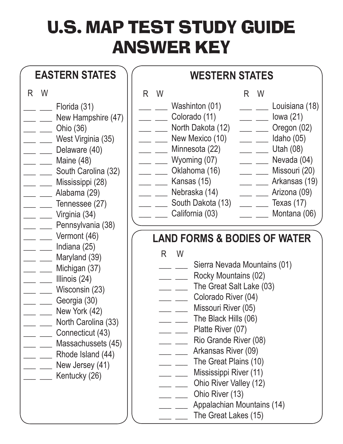## U.S. MAP TEST STUDY GUIDE ANSWER KEY

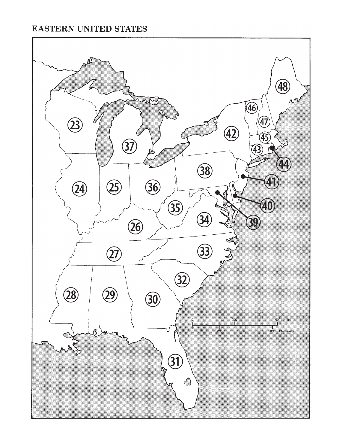## **EASTERN UNITED STATES**

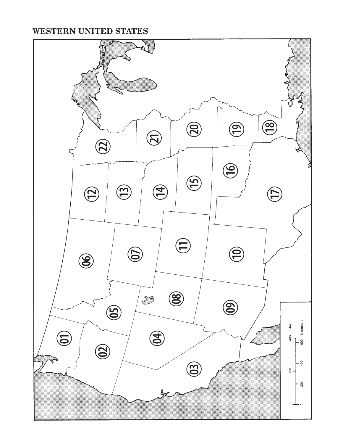## **WESTERN UNITED STATES**

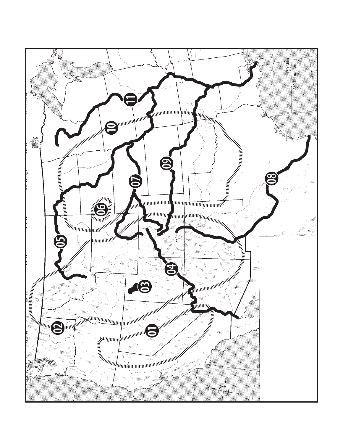